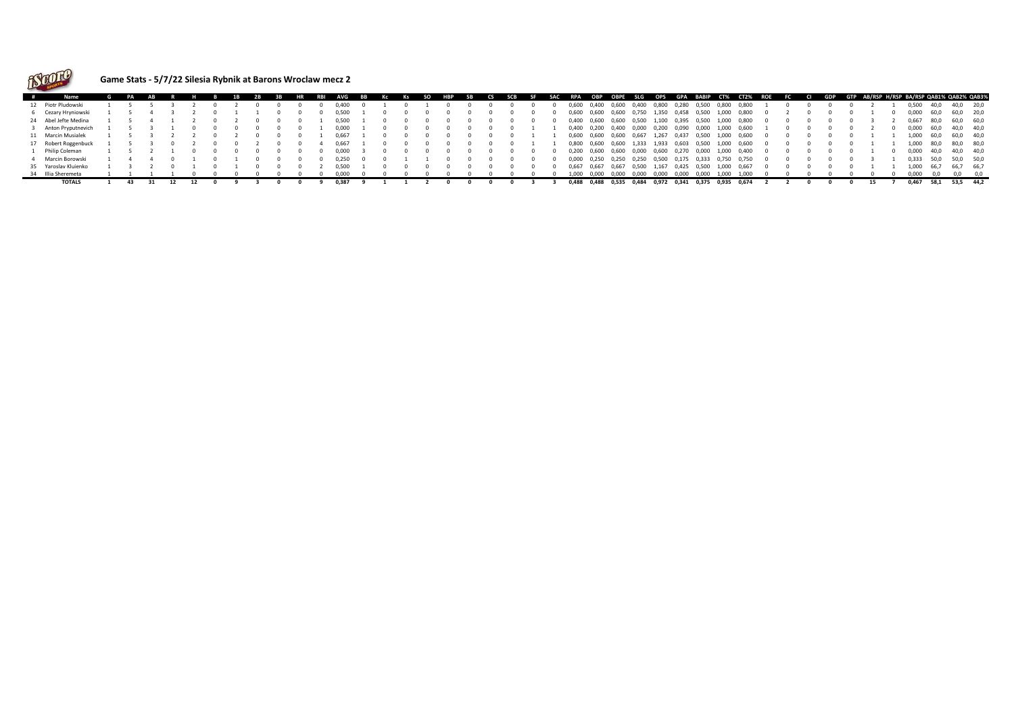

## **Game Stats - 5/7/22 Silesia Rybnik at Barons Wroclaw mecz 2**

| # | Name                 |     |  |  |  |  | RBI | <b>AVG</b> | BB | Кс | Ks | so | НВР | <b>SB</b> | CS SCB | <b>SF</b> |       |       |                               |       |             |       |                   |       | SAC RPA OBP OBPE SLG OPS GPA BABIP CT% CT2% ROE FC CI GDP GTP AB/RSP_H/RSP_BA/RSP_QAB1%_QAB2%_QAB3% |  |  |  |       |            |           |  |
|---|----------------------|-----|--|--|--|--|-----|------------|----|----|----|----|-----|-----------|--------|-----------|-------|-------|-------------------------------|-------|-------------|-------|-------------------|-------|-----------------------------------------------------------------------------------------------------|--|--|--|-------|------------|-----------|--|
|   | 12 Piotr Pludowski   |     |  |  |  |  |     | 0.400      |    |    |    |    |     |           |        |           | 0,600 | 0,400 | 0,600                         | 0,400 | 0,800       | 0,280 | 0,500             | 0,800 | 0,800                                                                                               |  |  |  | 0,500 | 40,0       | 40,0 20,0 |  |
|   | 6 Cezary Hryniowski  |     |  |  |  |  |     | 0.500      |    |    |    |    |     |           |        |           | 0.600 | 0.600 | 0,600 0,750                   |       | 1,350       | 0,458 | 0.500             | 1.000 | 0.800                                                                                               |  |  |  | 0.000 | 60.0       | 60.0 20.0 |  |
|   | 24 Abel Jefte Medina |     |  |  |  |  |     | 0,500      |    |    |    |    |     |           |        |           |       |       | 0,400 0,600 0,600 0,500       |       | 1,100       |       |                   |       | 0,395  0,500  1,000  0,800                                                                          |  |  |  |       | 0,667 80,0 | 60,0 60,0 |  |
|   | Anton Pryputnevich   |     |  |  |  |  |     | 0.000      |    |    |    |    |     |           |        |           | 0.400 | 0.200 | 0.400                         | 0,000 | 0.200       | 0.090 | 0.000             |       | 1.000 0.600                                                                                         |  |  |  | 0.000 | 60.0       | 40.0 40.0 |  |
|   | 11 Marcin Musialek   |     |  |  |  |  |     |            |    |    |    |    |     |           |        |           | 0,600 |       | 0,600 0,600 0,667             |       | 1,267       | 0,437 | 0,500             |       | 1,000 0,600                                                                                         |  |  |  | 1.000 | 60,0       | 60,0 40,0 |  |
|   | 17 Robert Roggenbuck |     |  |  |  |  |     |            |    |    |    |    |     |           |        |           | 0.800 | 0.600 | 0.600                         | 1.333 | 1.933       | 0.603 | 0.500             | 1.000 | 0.600                                                                                               |  |  |  | 1.000 | 80.0       | 80.0 80.0 |  |
|   | Philip Coleman       |     |  |  |  |  |     |            |    |    |    |    |     |           |        |           | 0.200 | 0.600 | 0.600                         | 0.000 | 0.600       | 0.270 | 0.000             | 1.000 | 0.400                                                                                               |  |  |  | 0.000 | 40.0       | 40.0 40.0 |  |
|   | Marcin Borowski      |     |  |  |  |  |     |            |    |    |    |    |     |           |        |           |       |       | 0,000 0,250 0,250 0,250 0,500 |       |             |       | 0,175 0,333 0,750 |       | 0.750                                                                                               |  |  |  | 0.333 | 50.0       | 50.0 50.0 |  |
|   | 35 Yaroslav Kluienko |     |  |  |  |  |     | า รกก      |    |    |    |    |     |           |        |           | 0.667 | 0.667 | 0.667                         | 0.500 | 1.167       | 0.425 | 0.500             | 1.000 | 0.667                                                                                               |  |  |  | 1.000 | 66.7       | 66.7 66.7 |  |
|   | 34 Illia Sheremeta   |     |  |  |  |  |     |            |    |    |    |    |     |           |        |           | 1.000 | 0.000 | 0.000                         | 0.000 | 0.000       | 0.000 | 0.000             | 1.000 | 1.000                                                                                               |  |  |  | ነ በበበ |            |           |  |
|   | <b>TOTALS</b>        | -43 |  |  |  |  |     | 0.387      |    |    |    |    |     |           |        |           |       |       | 0,488 0,488 0,535 0,484       |       | 0.972 0.341 |       | 0.375             |       | 0.935 0.674                                                                                         |  |  |  | 0.467 | 58.1       | 53.5 44.2 |  |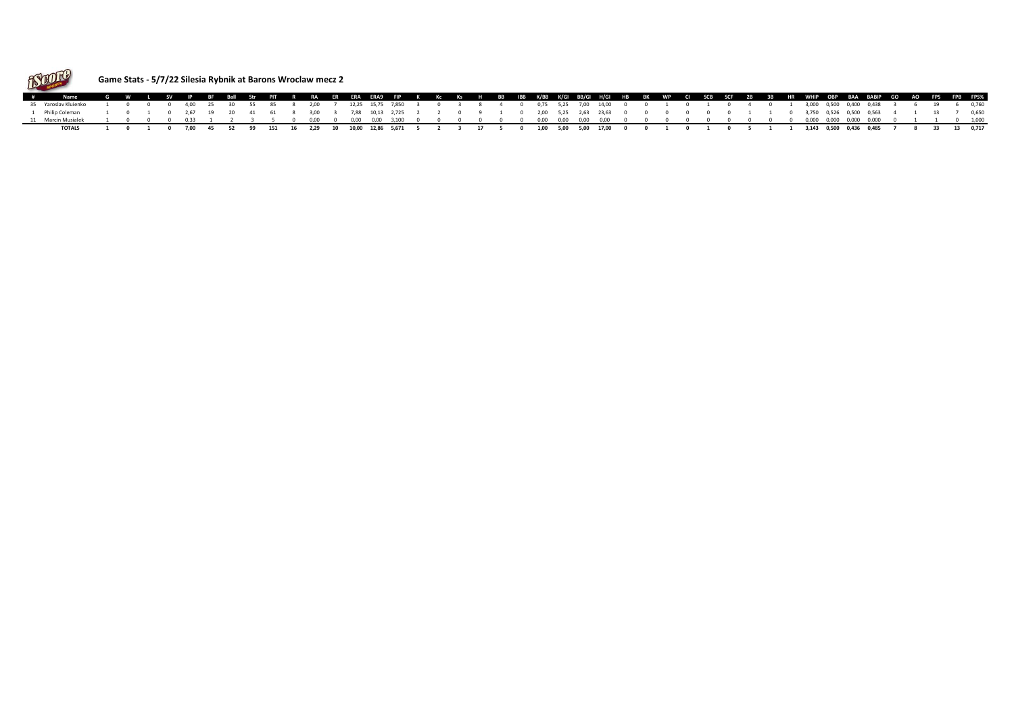

## **Game Stats - 5/7/22 Silesia Rybnik at Barons Wroclaw mecz 2**

| # Name G W L SV IP BF Ball Str PIT R RA ER ERA ERA9 FIP K Kc Ks H BB IBB K/BB K/GI BB/GI H/GI HB BK WP CI SCB SCF 2B 3B HR WHIP OBP BAA BABIP GO AO FPS FPS FPS%   |  |  |  |  |  |  |  |  |  |  |  |  |  |  |  |  |  |  |                                                                                                                                                  |  |  |  |
|--------------------------------------------------------------------------------------------------------------------------------------------------------------------|--|--|--|--|--|--|--|--|--|--|--|--|--|--|--|--|--|--|--------------------------------------------------------------------------------------------------------------------------------------------------|--|--|--|
| 35 Yaroslav Kluienko 1 0 0 0 4,00 25 30 55 85 8 2,00 7 12,25 15,75 7,850 3 0 3 8 4 0 0,75 5,25 7,00 14,00 0 0 1 0 1 0 4 0 1 3,000 0,400 0,400 0,408 3 6 19 6 0,760 |  |  |  |  |  |  |  |  |  |  |  |  |  |  |  |  |  |  |                                                                                                                                                  |  |  |  |
| Philin Coleman                                                                                                                                                     |  |  |  |  |  |  |  |  |  |  |  |  |  |  |  |  |  |  | $1$ 0 1 0 2,67 19 20 41 61 8 3,00 3 7,88 10,13 2,725 2 2 0 9 1 0 2,00 5,25 2,63 23,63 0 0 0 0 0 0 0 1 1 0 3,750 0,526 0,500 0,563 4 1 13 7 0,650 |  |  |  |
|                                                                                                                                                                    |  |  |  |  |  |  |  |  |  |  |  |  |  |  |  |  |  |  |                                                                                                                                                  |  |  |  |
| TOTALS 1 0 1 0 7,00 45 52 99 151 16 2,29 10 10,00 12,86 5,671 5 2 3 17 5 0 1,00 5,00 5,00 17,00 0 0 1 0 1 0 5 1 1 3,143 0,500 0,436 0,485 7 8 33 13 0,717          |  |  |  |  |  |  |  |  |  |  |  |  |  |  |  |  |  |  |                                                                                                                                                  |  |  |  |